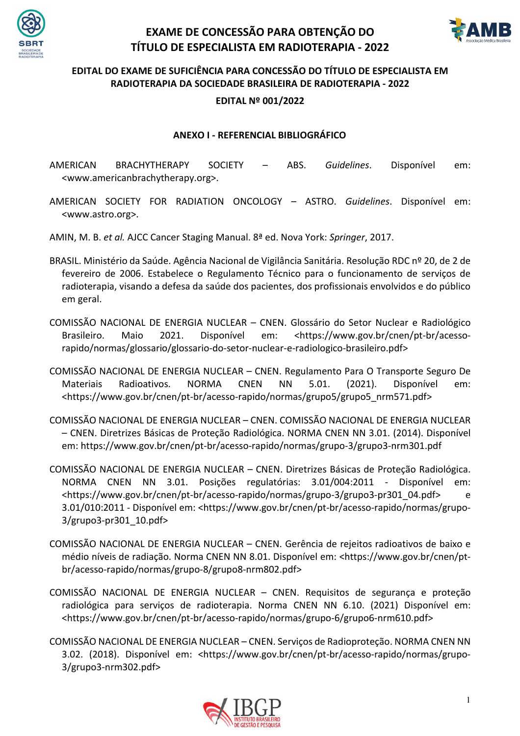



#### **EDITAL DO EXAME DE SUFICIÊNCIA PARA CONCESSÃO DO TÍTULO DE ESPECIALISTA EM RADIOTERAPIA DA SOCIEDADE BRASILEIRA DE RADIOTERAPIA - 2022**

#### **EDITAL Nº 001/2022**

#### **ANEXO I - REFERENCIAL BIBLIOGRÁFICO**

AMERICAN BRACHYTHERAPY SOCIETY – ABS. *Guidelines*. Disponível em: <www.americanbrachytherapy.org>.

AMERICAN SOCIETY FOR RADIATION ONCOLOGY – ASTRO. *Guidelines*. Disponível em: <www.astro.org>.

AMIN, M. B. *et al.* AJCC Cancer Staging Manual. 8ª ed. Nova York: *Springer*, 2017.

- BRASIL. Ministério da Saúde. Agência Nacional de Vigilância Sanitária. Resolução RDC nº 20, de 2 de fevereiro de 2006. Estabelece o Regulamento Técnico para o funcionamento de serviços de radioterapia, visando a defesa da saúde dos pacientes, dos profissionais envolvidos e do público em geral.
- COMISSÃO NACIONAL DE ENERGIA NUCLEAR CNEN. Glossário do Setor Nuclear e Radiológico Brasileiro. Maio 2021. Disponível em: <https://www.gov.br/cnen/pt-br/acessorapido/normas/glossario/glossario-do-setor-nuclear-e-radiologico-brasileiro.pdf>
- COMISSÃO NACIONAL DE ENERGIA NUCLEAR CNEN. Regulamento Para O Transporte Seguro De Materiais Radioativos. NORMA CNEN NN 5.01. (2021). Disponível em: <https://www.gov.br/cnen/pt-br/acesso-rapido/normas/grupo5/grupo5\_nrm571.pdf>
- COMISSÃO NACIONAL DE ENERGIA NUCLEAR CNEN. COMISSÃO NACIONAL DE ENERGIA NUCLEAR – CNEN. Diretrizes Básicas de Proteção Radiológica. NORMA CNEN NN 3.01. (2014). Disponível em: https://www.gov.br/cnen/pt-br/acesso-rapido/normas/grupo-3/grupo3-nrm301.pdf
- COMISSÃO NACIONAL DE ENERGIA NUCLEAR CNEN. Diretrizes Básicas de Proteção Radiológica. NORMA CNEN NN 3.01. Posições regulatórias: 3.01/004:2011 - Disponível em: <https://www.gov.br/cnen/pt-br/acesso-rapido/normas/grupo-3/grupo3-pr301\_04.pdf> e 3.01/010:2011 - Disponível em: <https://www.gov.br/cnen/pt-br/acesso-rapido/normas/grupo-3/grupo3-pr301\_10.pdf>
- COMISSÃO NACIONAL DE ENERGIA NUCLEAR CNEN. Gerência de rejeitos radioativos de baixo e médio níveis de radiação. Norma CNEN NN 8.01. Disponível em: <https://www.gov.br/cnen/ptbr/acesso-rapido/normas/grupo-8/grupo8-nrm802.pdf>
- COMISSÃO NACIONAL DE ENERGIA NUCLEAR CNEN. Requisitos de segurança e proteção radiológica para serviços de radioterapia. Norma CNEN NN 6.10. (2021) Disponível em: <https://www.gov.br/cnen/pt-br/acesso-rapido/normas/grupo-6/grupo6-nrm610.pdf>
- COMISSÃO NACIONAL DE ENERGIA NUCLEAR CNEN. Serviços de Radioproteção. NORMA CNEN NN 3.02. (2018). Disponível em: <https://www.gov.br/cnen/pt-br/acesso-rapido/normas/grupo-3/grupo3-nrm302.pdf>

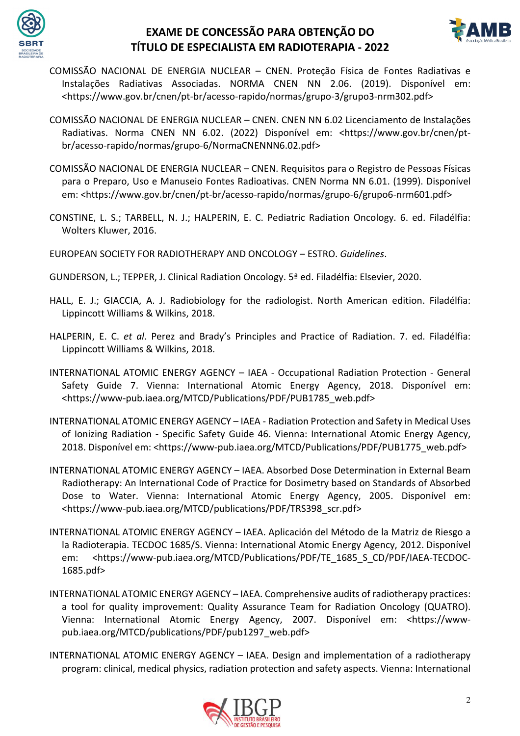



- COMISSÃO NACIONAL DE ENERGIA NUCLEAR CNEN. Proteção Física de Fontes Radiativas e Instalações Radiativas Associadas. NORMA CNEN NN 2.06. (2019). Disponível em: <https://www.gov.br/cnen/pt-br/acesso-rapido/normas/grupo-3/grupo3-nrm302.pdf>
- COMISSÃO NACIONAL DE ENERGIA NUCLEAR CNEN. CNEN NN 6.02 Licenciamento de Instalações Radiativas. Norma CNEN NN 6.02. (2022) Disponível em: <https://www.gov.br/cnen/ptbr/acesso-rapido/normas/grupo-6/NormaCNENNN6.02.pdf>
- COMISSÃO NACIONAL DE ENERGIA NUCLEAR CNEN. Requisitos para o Registro de Pessoas Físicas para o Preparo, Uso e Manuseio Fontes Radioativas. CNEN Norma NN 6.01. (1999). Disponível em: <https://www.gov.br/cnen/pt-br/acesso-rapido/normas/grupo-6/grupo6-nrm601.pdf>
- CONSTINE, L. S.; TARBELL, N. J.; HALPERIN, E. C. Pediatric Radiation Oncology. 6. ed. Filadélfia: Wolters Kluwer, 2016.

EUROPEAN SOCIETY FOR RADIOTHERAPY AND ONCOLOGY – ESTRO. *Guidelines*.

- GUNDERSON, L.; TEPPER, J. Clinical Radiation Oncology. 5ª ed. Filadélfia: Elsevier, 2020.
- HALL, E. J.; GIACCIA, A. J. Radiobiology for the radiologist. North American edition. Filadélfia: Lippincott Williams & Wilkins, 2018.
- HALPERIN, E. C. *et al*. Perez and Brady's Principles and Practice of Radiation. 7. ed. Filadélfia: Lippincott Williams & Wilkins, 2018.
- INTERNATIONAL ATOMIC ENERGY AGENCY IAEA Occupational Radiation Protection General Safety Guide 7. Vienna: International Atomic Energy Agency, 2018. Disponível em: <https://www-pub.iaea.org/MTCD/Publications/PDF/PUB1785\_web.pdf>
- INTERNATIONAL ATOMIC ENERGY AGENCY IAEA Radiation Protection and Safety in Medical Uses of Ionizing Radiation - Specific Safety Guide 46. Vienna: International Atomic Energy Agency, 2018. Disponível em: <https://www-pub.iaea.org/MTCD/Publications/PDF/PUB1775\_web.pdf>
- INTERNATIONAL ATOMIC ENERGY AGENCY IAEA. Absorbed Dose Determination in External Beam Radiotherapy: An International Code of Practice for Dosimetry based on Standards of Absorbed Dose to Water. Vienna: International Atomic Energy Agency, 2005. Disponível em: <https://www-pub.iaea.org/MTCD/publications/PDF/TRS398\_scr.pdf>
- INTERNATIONAL ATOMIC ENERGY AGENCY IAEA. Aplicación del Método de la Matriz de Riesgo a la Radioterapia. TECDOC 1685/S. Vienna: International Atomic Energy Agency, 2012. Disponível em: <https://www-pub.iaea.org/MTCD/Publications/PDF/TE\_1685\_S\_CD/PDF/IAEA-TECDOC-1685.pdf>
- INTERNATIONAL ATOMIC ENERGY AGENCY IAEA. Comprehensive audits of radiotherapy practices: a tool for quality improvement: Quality Assurance Team for Radiation Oncology (QUATRO). Vienna: International Atomic Energy Agency, 2007. Disponível em: <https://wwwpub.iaea.org/MTCD/publications/PDF/pub1297\_web.pdf>
- INTERNATIONAL ATOMIC ENERGY AGENCY IAEA. Design and implementation of a radiotherapy program: clinical, medical physics, radiation protection and safety aspects. Vienna: International

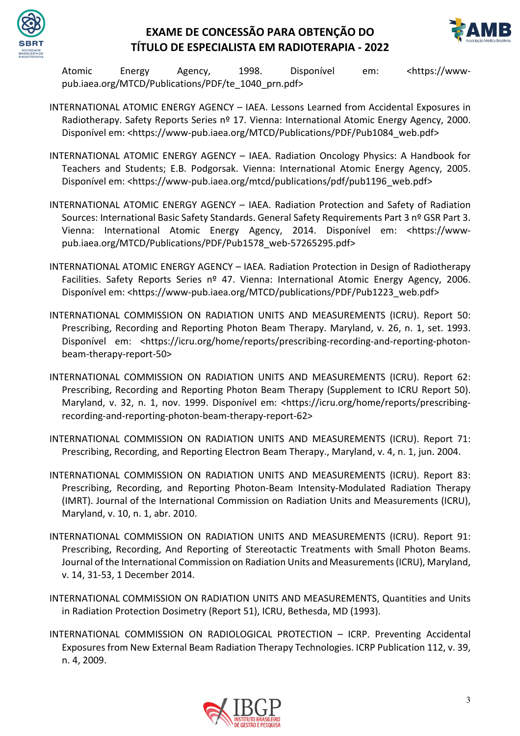



Atomic Energy Agency, 1998. Disponível em: <https://wwwpub.iaea.org/MTCD/Publications/PDF/te\_1040\_prn.pdf>

- INTERNATIONAL ATOMIC ENERGY AGENCY IAEA. Lessons Learned from Accidental Exposures in Radiotherapy. Safety Reports Series nº 17. Vienna: International Atomic Energy Agency, 2000. Disponível em: <https://www-pub.iaea.org/MTCD/Publications/PDF/Pub1084\_web.pdf>
- INTERNATIONAL ATOMIC ENERGY AGENCY IAEA. Radiation Oncology Physics: A Handbook for Teachers and Students; E.B. Podgorsak. Vienna: International Atomic Energy Agency, 2005. Disponível em: <https://www-pub.iaea.org/mtcd/publications/pdf/pub1196\_web.pdf>
- INTERNATIONAL ATOMIC ENERGY AGENCY IAEA. Radiation Protection and Safety of Radiation Sources: International Basic Safety Standards. General Safety Requirements Part 3 nº GSR Part 3. Vienna: International Atomic Energy Agency, 2014. Disponível em: <https://wwwpub.iaea.org/MTCD/Publications/PDF/Pub1578\_web-57265295.pdf>
- INTERNATIONAL ATOMIC ENERGY AGENCY IAEA. Radiation Protection in Design of Radiotherapy Facilities. Safety Reports Series nº 47. Vienna: International Atomic Energy Agency, 2006. Disponível em: <https://www-pub.iaea.org/MTCD/publications/PDF/Pub1223\_web.pdf>
- INTERNATIONAL COMMISSION ON RADIATION UNITS AND MEASUREMENTS (ICRU). Report 50: Prescribing, Recording and Reporting Photon Beam Therapy. Maryland, v. 26, n. 1, set. 1993. Disponível em: <https://icru.org/home/reports/prescribing-recording-and-reporting-photonbeam-therapy-report-50>
- INTERNATIONAL COMMISSION ON RADIATION UNITS AND MEASUREMENTS (ICRU). Report 62: Prescribing, Recording and Reporting Photon Beam Therapy (Supplement to ICRU Report 50). Maryland, v. 32, n. 1, nov. 1999. Disponível em: <https://icru.org/home/reports/prescribingrecording-and-reporting-photon-beam-therapy-report-62>
- INTERNATIONAL COMMISSION ON RADIATION UNITS AND MEASUREMENTS (ICRU). Report 71: Prescribing, Recording, and Reporting Electron Beam Therapy., Maryland, v. 4, n. 1, jun. 2004.
- INTERNATIONAL COMMISSION ON RADIATION UNITS AND MEASUREMENTS (ICRU). Report 83: Prescribing, Recording, and Reporting Photon-Beam Intensity-Modulated Radiation Therapy (IMRT). Journal of the International Commission on Radiation Units and Measurements (ICRU), Maryland, v. 10, n. 1, abr. 2010.
- INTERNATIONAL COMMISSION ON RADIATION UNITS AND MEASUREMENTS (ICRU). Report 91: Prescribing, Recording, And Reporting of Stereotactic Treatments with Small Photon Beams. Journal of the International Commission on Radiation Units and Measurements (ICRU), Maryland, v. 14, 31-53, 1 December 2014.
- INTERNATIONAL COMMISSION ON RADIATION UNITS AND MEASUREMENTS, Quantities and Units in Radiation Protection Dosimetry (Report 51), ICRU, Bethesda, MD (1993).
- INTERNATIONAL COMMISSION ON RADIOLOGICAL PROTECTION ICRP. Preventing Accidental Exposures from New External Beam Radiation Therapy Technologies. ICRP Publication 112, v. 39, n. 4, 2009.

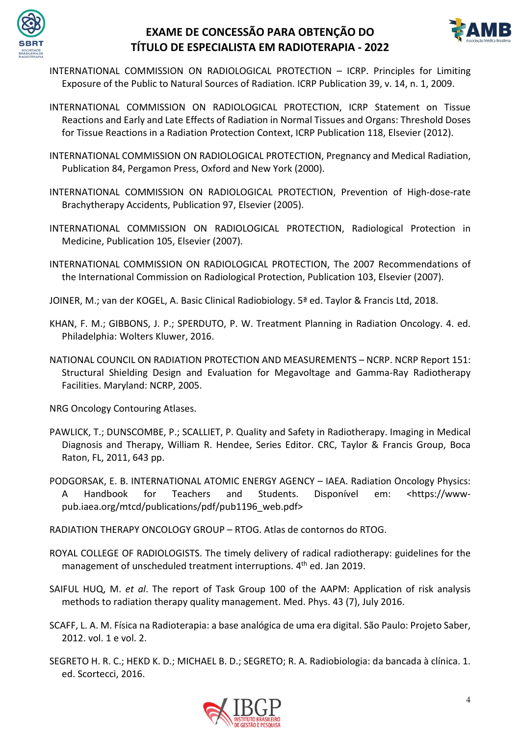



- INTERNATIONAL COMMISSION ON RADIOLOGICAL PROTECTION ICRP. Principles for Limiting Exposure of the Public to Natural Sources of Radiation. ICRP Publication 39, v. 14, n. 1, 2009.
- INTERNATIONAL COMMISSION ON RADIOLOGICAL PROTECTION, ICRP Statement on Tissue Reactions and Early and Late Effects of Radiation in Normal Tissues and Organs: Threshold Doses for Tissue Reactions in a Radiation Protection Context, ICRP Publication 118, Elsevier (2012).
- INTERNATIONAL COMMISSION ON RADIOLOGICAL PROTECTION, Pregnancy and Medical Radiation, Publication 84, Pergamon Press, Oxford and New York (2000).
- INTERNATIONAL COMMISSION ON RADIOLOGICAL PROTECTION, Prevention of High-dose-rate Brachytherapy Accidents, Publication 97, Elsevier (2005).
- INTERNATIONAL COMMISSION ON RADIOLOGICAL PROTECTION, Radiological Protection in Medicine, Publication 105, Elsevier (2007).
- INTERNATIONAL COMMISSION ON RADIOLOGICAL PROTECTION, The 2007 Recommendations of the International Commission on Radiological Protection, Publication 103, Elsevier (2007).
- JOINER, M.; van der KOGEL, A. Basic Clinical Radiobiology. 5ª ed. Taylor & Francis Ltd, 2018.
- KHAN, F. M.; GIBBONS, J. P.; SPERDUTO, P. W. Treatment Planning in Radiation Oncology. 4. ed. Philadelphia: Wolters Kluwer, 2016.
- NATIONAL COUNCIL ON RADIATION PROTECTION AND MEASUREMENTS NCRP. NCRP Report 151: Structural Shielding Design and Evaluation for Megavoltage and Gamma-Ray Radiotherapy Facilities. Maryland: NCRP, 2005.

NRG Oncology Contouring Atlases.

- PAWLICK, T.; DUNSCOMBE, P.; SCALLIET, P. Quality and Safety in Radiotherapy. Imaging in Medical Diagnosis and Therapy, William R. Hendee, Series Editor. CRC, Taylor & Francis Group, Boca Raton, FL, 2011, 643 pp.
- PODGORSAK, E. B. INTERNATIONAL ATOMIC ENERGY AGENCY IAEA. Radiation Oncology Physics: A Handbook for Teachers and Students. Disponível em: <https://wwwpub.iaea.org/mtcd/publications/pdf/pub1196\_web.pdf>
- RADIATION THERAPY ONCOLOGY GROUP RTOG. Atlas de contornos do RTOG.
- ROYAL COLLEGE OF RADIOLOGISTS. The timely delivery of radical radiotherapy: guidelines for the management of unscheduled treatment interruptions. 4<sup>th</sup> ed. Jan 2019.
- SAIFUL HUQ, M. *et al*. The report of Task Group 100 of the AAPM: Application of risk analysis methods to radiation therapy quality management. Med. Phys. 43 (7), July 2016.
- SCAFF, L. A. M. Física na Radioterapia: a base analógica de uma era digital. São Paulo: Projeto Saber, 2012. vol. 1 e vol. 2.
- SEGRETO H. R. C.; HEKD K. D.; MICHAEL B. D.; SEGRETO; R. A. Radiobiologia: da bancada à clínica. 1. ed. Scortecci, 2016.

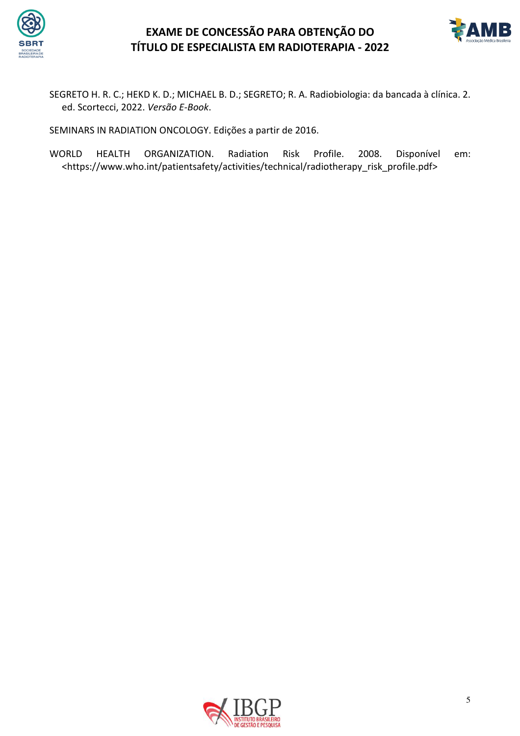



SEGRETO H. R. C.; HEKD K. D.; MICHAEL B. D.; SEGRETO; R. A. Radiobiologia: da bancada à clínica. 2. ed. Scortecci, 2022. *Versão E-Book*.

SEMINARS IN RADIATION ONCOLOGY. Edições a partir de 2016.

WORLD HEALTH ORGANIZATION. Radiation Risk Profile. 2008. Disponível em: <https://www.who.int/patientsafety/activities/technical/radiotherapy\_risk\_profile.pdf>